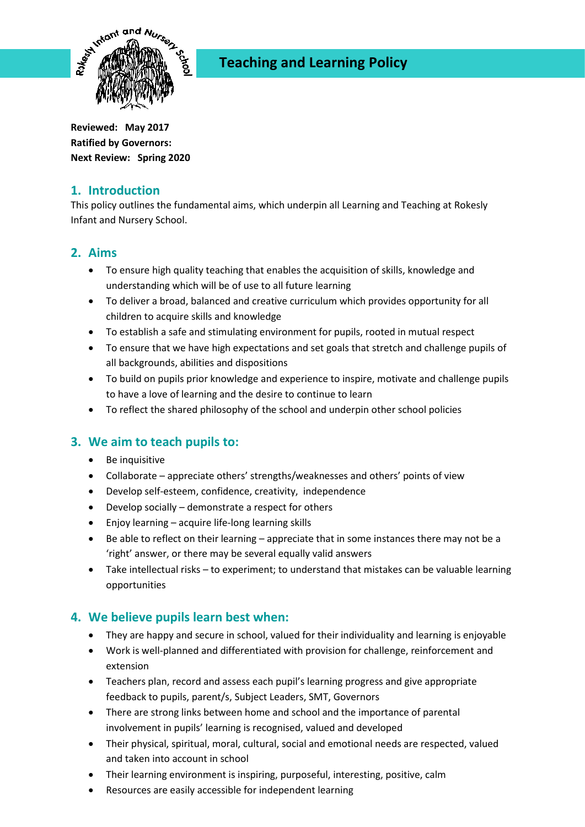

# **Teaching and Learning Policy**

**Reviewed: May 2017 Ratified by Governors: Next Review: Spring 2020**

## **1. Introduction**

This policy outlines the fundamental aims, which underpin all Learning and Teaching at Rokesly Infant and Nursery School.

## **2. Aims**

- To ensure high quality teaching that enables the acquisition of skills, knowledge and understanding which will be of use to all future learning
- To deliver a broad, balanced and creative curriculum which provides opportunity for all children to acquire skills and knowledge
- To establish a safe and stimulating environment for pupils, rooted in mutual respect
- To ensure that we have high expectations and set goals that stretch and challenge pupils of all backgrounds, abilities and dispositions
- To build on pupils prior knowledge and experience to inspire, motivate and challenge pupils to have a love of learning and the desire to continue to learn
- To reflect the shared philosophy of the school and underpin other school policies

## **3. We aim to teach pupils to:**

- Be inquisitive
- Collaborate appreciate others' strengths/weaknesses and others' points of view
- Develop self-esteem, confidence, creativity, independence
- Develop socially demonstrate a respect for others
- Enjoy learning acquire life-long learning skills
- Be able to reflect on their learning appreciate that in some instances there may not be a 'right' answer, or there may be several equally valid answers
- Take intellectual risks to experiment; to understand that mistakes can be valuable learning opportunities

## **4. We believe pupils learn best when:**

- They are happy and secure in school, valued for their individuality and learning is enjoyable
- Work is well-planned and differentiated with provision for challenge, reinforcement and extension
- Teachers plan, record and assess each pupil's learning progress and give appropriate feedback to pupils, parent/s, Subject Leaders, SMT, Governors
- There are strong links between home and school and the importance of parental involvement in pupils' learning is recognised, valued and developed
- Their physical, spiritual, moral, cultural, social and emotional needs are respected, valued and taken into account in school
- Their learning environment is inspiring, purposeful, interesting, positive, calm
- Resources are easily accessible for independent learning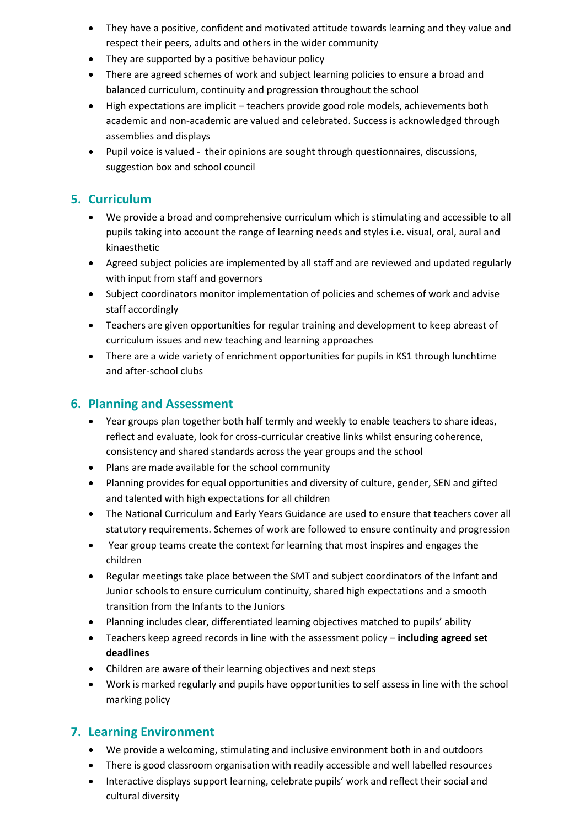- They have a positive, confident and motivated attitude towards learning and they value and respect their peers, adults and others in the wider community
- They are supported by a positive behaviour policy
- There are agreed schemes of work and subject learning policies to ensure a broad and balanced curriculum, continuity and progression throughout the school
- High expectations are implicit teachers provide good role models, achievements both academic and non-academic are valued and celebrated. Success is acknowledged through assemblies and displays
- Pupil voice is valued their opinions are sought through questionnaires, discussions, suggestion box and school council

## **5. Curriculum**

- We provide a broad and comprehensive curriculum which is stimulating and accessible to all pupils taking into account the range of learning needs and styles i.e. visual, oral, aural and kinaesthetic
- Agreed subject policies are implemented by all staff and are reviewed and updated regularly with input from staff and governors
- Subject coordinators monitor implementation of policies and schemes of work and advise staff accordingly
- Teachers are given opportunities for regular training and development to keep abreast of curriculum issues and new teaching and learning approaches
- There are a wide variety of enrichment opportunities for pupils in KS1 through lunchtime and after-school clubs

#### **6. Planning and Assessment**

- Year groups plan together both half termly and weekly to enable teachers to share ideas, reflect and evaluate, look for cross-curricular creative links whilst ensuring coherence, consistency and shared standards across the year groups and the school
- Plans are made available for the school community
- Planning provides for equal opportunities and diversity of culture, gender, SEN and gifted and talented with high expectations for all children
- The National Curriculum and Early Years Guidance are used to ensure that teachers cover all statutory requirements. Schemes of work are followed to ensure continuity and progression
- Year group teams create the context for learning that most inspires and engages the children
- Regular meetings take place between the SMT and subject coordinators of the Infant and Junior schools to ensure curriculum continuity, shared high expectations and a smooth transition from the Infants to the Juniors
- Planning includes clear, differentiated learning objectives matched to pupils' ability
- Teachers keep agreed records in line with the assessment policy **including agreed set deadlines**
- Children are aware of their learning objectives and next steps
- Work is marked regularly and pupils have opportunities to self assess in line with the school marking policy

## **7. Learning Environment**

- We provide a welcoming, stimulating and inclusive environment both in and outdoors
- There is good classroom organisation with readily accessible and well labelled resources
- Interactive displays support learning, celebrate pupils' work and reflect their social and cultural diversity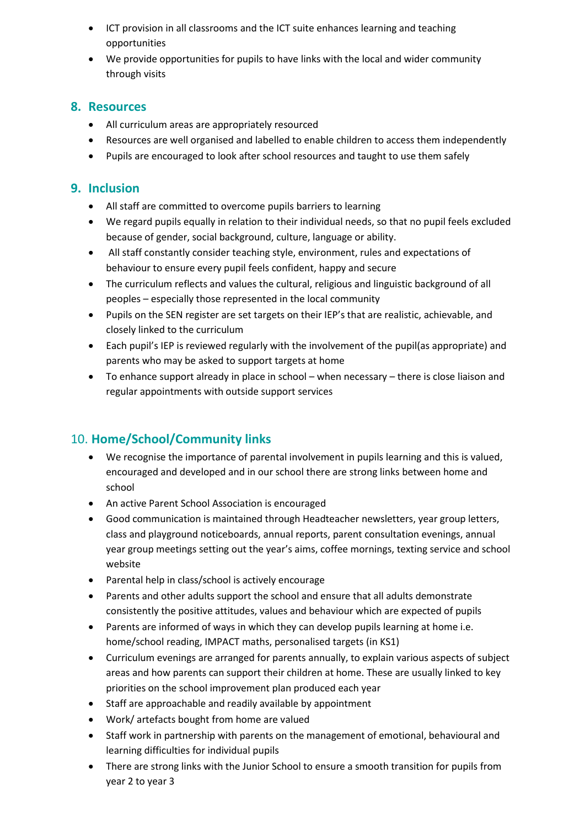- ICT provision in all classrooms and the ICT suite enhances learning and teaching opportunities
- We provide opportunities for pupils to have links with the local and wider community through visits

#### **8. Resources**

- All curriculum areas are appropriately resourced
- Resources are well organised and labelled to enable children to access them independently
- Pupils are encouraged to look after school resources and taught to use them safely

## **9. Inclusion**

- All staff are committed to overcome pupils barriers to learning
- We regard pupils equally in relation to their individual needs, so that no pupil feels excluded because of gender, social background, culture, language or ability.
- All staff constantly consider teaching style, environment, rules and expectations of behaviour to ensure every pupil feels confident, happy and secure
- The curriculum reflects and values the cultural, religious and linguistic background of all peoples – especially those represented in the local community
- Pupils on the SEN register are set targets on their IEP's that are realistic, achievable, and closely linked to the curriculum
- Each pupil's IEP is reviewed regularly with the involvement of the pupil(as appropriate) and parents who may be asked to support targets at home
- To enhance support already in place in school when necessary there is close liaison and regular appointments with outside support services

## 10. **Home/School/Community links**

- We recognise the importance of parental involvement in pupils learning and this is valued, encouraged and developed and in our school there are strong links between home and school
- An active Parent School Association is encouraged
- Good communication is maintained through Headteacher newsletters, year group letters, class and playground noticeboards, annual reports, parent consultation evenings, annual year group meetings setting out the year's aims, coffee mornings, texting service and school website
- Parental help in class/school is actively encourage
- Parents and other adults support the school and ensure that all adults demonstrate consistently the positive attitudes, values and behaviour which are expected of pupils
- Parents are informed of ways in which they can develop pupils learning at home i.e. home/school reading, IMPACT maths, personalised targets (in KS1)
- Curriculum evenings are arranged for parents annually, to explain various aspects of subject areas and how parents can support their children at home. These are usually linked to key priorities on the school improvement plan produced each year
- Staff are approachable and readily available by appointment
- Work/ artefacts bought from home are valued
- Staff work in partnership with parents on the management of emotional, behavioural and learning difficulties for individual pupils
- There are strong links with the Junior School to ensure a smooth transition for pupils from year 2 to year 3